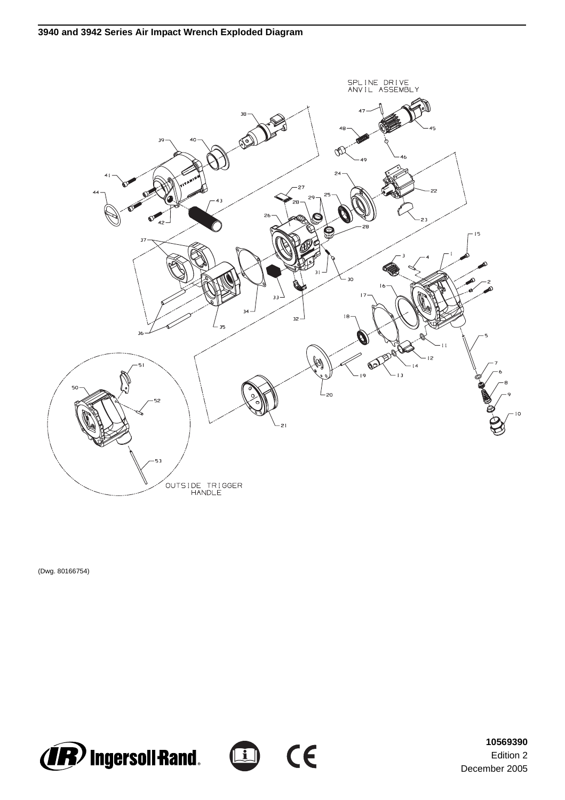

(Dwg. 80166754)





**10569390** Edition 2 December 2005